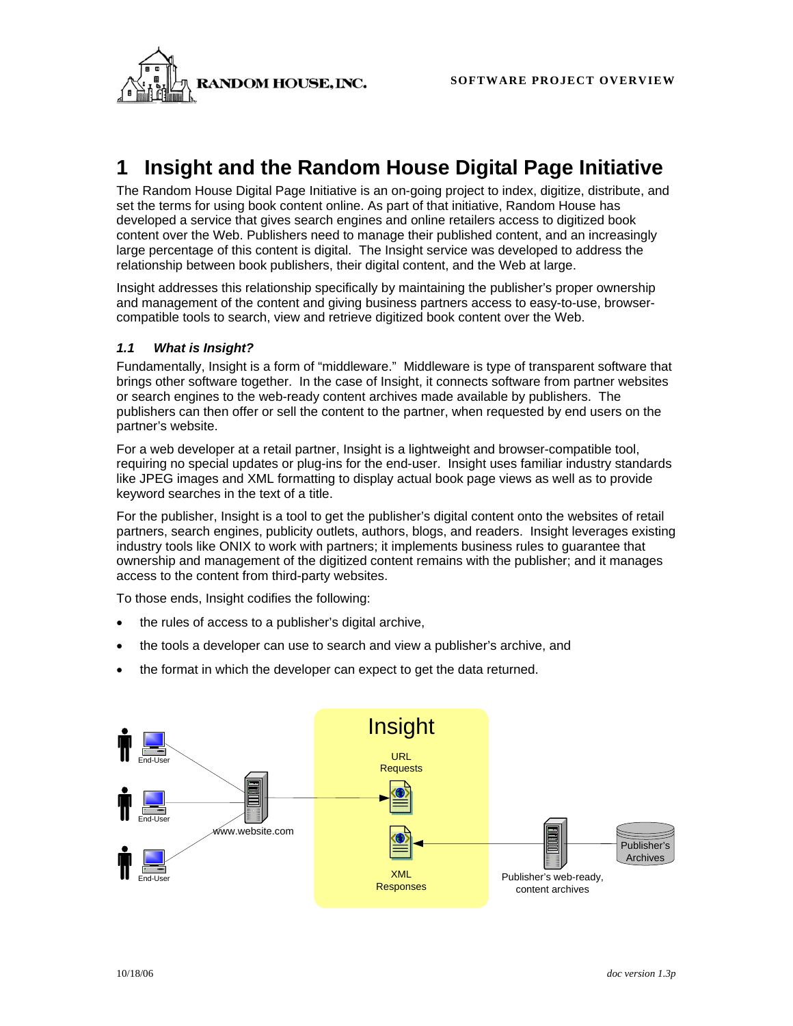**RANDOM HOUSE.INC.** SOFTWARE PROJECT OVERVIEW



# **1 Insight and the Random House Digital Page Initiative**

The Random House Digital Page Initiative is an on-going project to index, digitize, distribute, and set the terms for using book content online. As part of that initiative, Random House has developed a service that gives search engines and online retailers access to digitized book content over the Web. Publishers need to manage their published content, and an increasingly large percentage of this content is digital. The Insight service was developed to address the relationship between book publishers, their digital content, and the Web at large.

Insight addresses this relationship specifically by maintaining the publisher's proper ownership and management of the content and giving business partners access to easy-to-use, browsercompatible tools to search, view and retrieve digitized book content over the Web.

## *1.1 What is Insight?*

Fundamentally, Insight is a form of "middleware." Middleware is type of transparent software that brings other software together. In the case of Insight, it connects software from partner websites or search engines to the web-ready content archives made available by publishers. The publishers can then offer or sell the content to the partner, when requested by end users on the partner's website.

For a web developer at a retail partner, Insight is a lightweight and browser-compatible tool, requiring no special updates or plug-ins for the end-user. Insight uses familiar industry standards like JPEG images and XML formatting to display actual book page views as well as to provide keyword searches in the text of a title.

For the publisher, Insight is a tool to get the publisher's digital content onto the websites of retail partners, search engines, publicity outlets, authors, blogs, and readers. Insight leverages existing industry tools like ONIX to work with partners; it implements business rules to guarantee that ownership and management of the digitized content remains with the publisher; and it manages access to the content from third-party websites.

To those ends, Insight codifies the following:

- the rules of access to a publisher's digital archive,
- the tools a developer can use to search and view a publisher's archive, and
- the format in which the developer can expect to get the data returned.

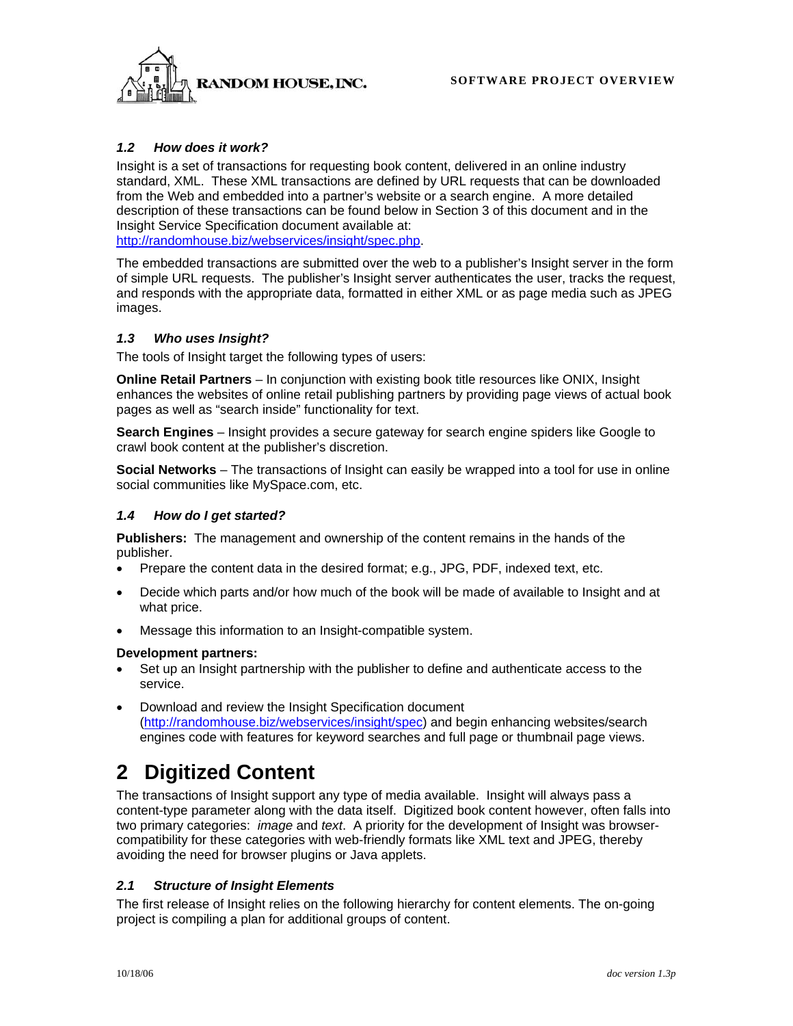

### *1.2 How does it work?*

Insight is a set of transactions for requesting book content, delivered in an online industry standard, XML. These XML transactions are defined by URL requests that can be downloaded from the Web and embedded into a partner's website or a search engine. A more detailed description of these transactions can be found below in Section 3 of this document and in the Insight Service Specification document available at: http://randomhouse.biz/webservices/insight/spec.php.

The embedded transactions are submitted over the web to a publisher's Insight server in the form of simple URL requests. The publisher's Insight server authenticates the user, tracks the request, and responds with the appropriate data, formatted in either XML or as page media such as JPEG images.

### *1.3 Who uses Insight?*

The tools of Insight target the following types of users:

**Online Retail Partners** – In conjunction with existing book title resources like ONIX, Insight enhances the websites of online retail publishing partners by providing page views of actual book pages as well as "search inside" functionality for text.

**Search Engines** – Insight provides a secure gateway for search engine spiders like Google to crawl book content at the publisher's discretion.

**Social Networks** – The transactions of Insight can easily be wrapped into a tool for use in online social communities like MySpace.com, etc.

#### *1.4 How do I get started?*

**Publishers:** The management and ownership of the content remains in the hands of the publisher.

- Prepare the content data in the desired format; e.g., JPG, PDF, indexed text, etc.
- Decide which parts and/or how much of the book will be made of available to Insight and at what price.
- Message this information to an Insight-compatible system.

#### **Development partners:**

- Set up an Insight partnership with the publisher to define and authenticate access to the service.
- Download and review the Insight Specification document (http://randomhouse.biz/webservices/insight/spec) and begin enhancing websites/search engines code with features for keyword searches and full page or thumbnail page views.

## **2 Digitized Content**

The transactions of Insight support any type of media available. Insight will always pass a content-type parameter along with the data itself. Digitized book content however, often falls into two primary categories: *image* and *text*. A priority for the development of Insight was browsercompatibility for these categories with web-friendly formats like XML text and JPEG, thereby avoiding the need for browser plugins or Java applets.

#### *2.1 Structure of Insight Elements*

The first release of Insight relies on the following hierarchy for content elements. The on-going project is compiling a plan for additional groups of content.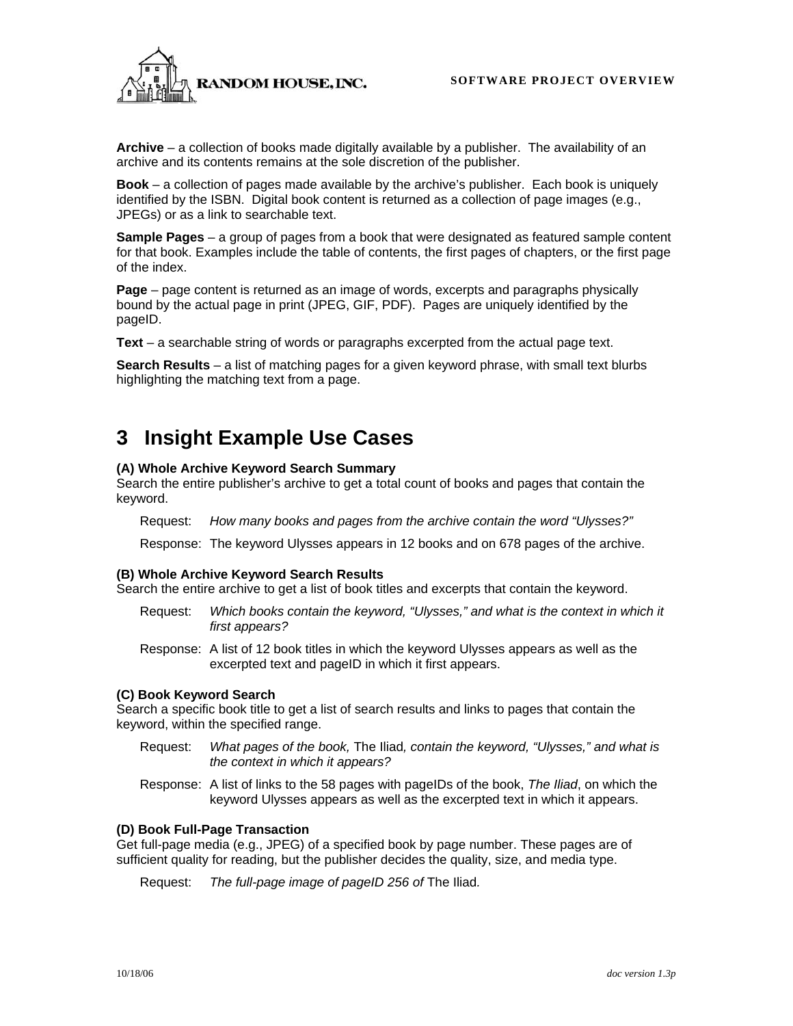**RANDOM HOUSE.INC.** SOFTWARE PROJECT OVERVIEW



**Archive** – a collection of books made digitally available by a publisher. The availability of an archive and its contents remains at the sole discretion of the publisher.

**Book** – a collection of pages made available by the archive's publisher. Each book is uniquely identified by the ISBN. Digital book content is returned as a collection of page images (e.g., JPEGs) or as a link to searchable text.

**Sample Pages** – a group of pages from a book that were designated as featured sample content for that book. Examples include the table of contents, the first pages of chapters, or the first page of the index.

**Page** – page content is returned as an image of words, excerpts and paragraphs physically bound by the actual page in print (JPEG, GIF, PDF). Pages are uniquely identified by the pageID.

**Text** – a searchable string of words or paragraphs excerpted from the actual page text.

**Search Results** – a list of matching pages for a given keyword phrase, with small text blurbs highlighting the matching text from a page.

## **3 Insight Example Use Cases**

#### **(A) Whole Archive Keyword Search Summary**

Search the entire publisher's archive to get a total count of books and pages that contain the keyword.

Request: *How many books and pages from the archive contain the word "Ulysses?"* 

Response: The keyword Ulysses appears in 12 books and on 678 pages of the archive.

#### **(B) Whole Archive Keyword Search Results**

Search the entire archive to get a list of book titles and excerpts that contain the keyword.

- Request: *Which books contain the keyword, "Ulysses," and what is the context in which it first appears?*
- Response: A list of 12 book titles in which the keyword Ulysses appears as well as the excerpted text and pageID in which it first appears.

#### **(C) Book Keyword Search**

Search a specific book title to get a list of search results and links to pages that contain the keyword, within the specified range.

- Request: *What pages of the book,* The Iliad*, contain the keyword, "Ulysses," and what is the context in which it appears?*
- Response: A list of links to the 58 pages with pageIDs of the book, *The Iliad*, on which the keyword Ulysses appears as well as the excerpted text in which it appears.

#### **(D) Book Full-Page Transaction**

Get full-page media (e.g., JPEG) of a specified book by page number. These pages are of sufficient quality for reading, but the publisher decides the quality, size, and media type.

Request: *The full-page image of pageID 256 of* The Iliad*.*